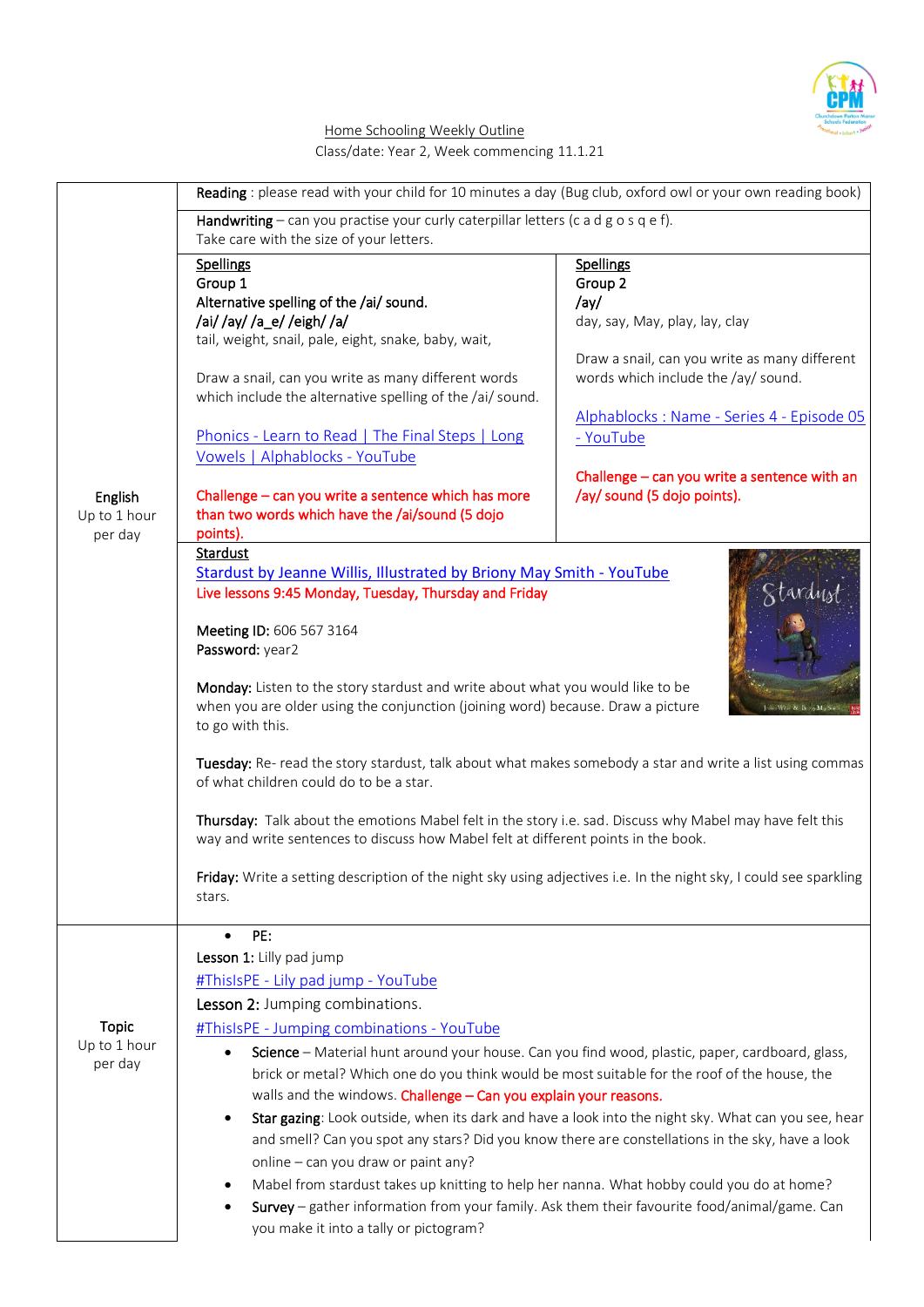

## Home Schooling Weekly Outline Class/date: Year 2, Week commencing 11.1.21

|                                         | Reading : please read with your child for 10 minutes a day (Bug club, oxford owl or your own reading book)                                                                                                                                                                                                                                                                                                                                                                                                                                                                                                                                                                                                                                                                                                                                                                                                                                        |                                                                                                                                                                                                                                                                                                        |
|-----------------------------------------|---------------------------------------------------------------------------------------------------------------------------------------------------------------------------------------------------------------------------------------------------------------------------------------------------------------------------------------------------------------------------------------------------------------------------------------------------------------------------------------------------------------------------------------------------------------------------------------------------------------------------------------------------------------------------------------------------------------------------------------------------------------------------------------------------------------------------------------------------------------------------------------------------------------------------------------------------|--------------------------------------------------------------------------------------------------------------------------------------------------------------------------------------------------------------------------------------------------------------------------------------------------------|
|                                         | Handwriting – can you practise your curly caterpillar letters (c a d $g$ o s q e f).<br>Take care with the size of your letters.                                                                                                                                                                                                                                                                                                                                                                                                                                                                                                                                                                                                                                                                                                                                                                                                                  |                                                                                                                                                                                                                                                                                                        |
| English<br>Up to 1 hour<br>per day      | Spellings<br>Group 1<br>Alternative spelling of the /ai/ sound.<br>/ai//ay//a_e//eigh//a/<br>tail, weight, snail, pale, eight, snake, baby, wait,<br>Draw a snail, can you write as many different words<br>which include the alternative spelling of the /ai/ sound.<br>Phonics - Learn to Read   The Final Steps   Long<br>Vowels   Alphablocks - YouTube<br>Challenge - can you write a sentence which has more<br>than two words which have the /ai/sound (5 dojo<br>points).<br>Stardust                                                                                                                                                                                                                                                                                                                                                                                                                                                     | <b>Spellings</b><br>Group 2<br>/ay/<br>day, say, May, play, lay, clay<br>Draw a snail, can you write as many different<br>words which include the /ay/ sound.<br>Alphablocks: Name - Series 4 - Episode 05<br>- YouTube<br>Challenge - can you write a sentence with an<br>/ay/ sound (5 dojo points). |
|                                         | <b>Stardust by Jeanne Willis, Illustrated by Briony May Smith - YouTube</b><br>Live lessons 9:45 Monday, Tuesday, Thursday and Friday<br>Meeting ID: 606 567 3164<br>Password: year2<br>Monday: Listen to the story stardust and write about what you would like to be<br>when you are older using the conjunction (joining word) because. Draw a picture<br>to go with this.<br>Tuesday: Re- read the story stardust, talk about what makes somebody a star and write a list using commas<br>of what children could do to be a star.<br>Thursday: Talk about the emotions Mabel felt in the story i.e. sad. Discuss why Mabel may have felt this<br>way and write sentences to discuss how Mabel felt at different points in the book.<br>Friday: Write a setting description of the night sky using adjectives i.e. In the night sky, I could see sparkling<br>stars.                                                                           |                                                                                                                                                                                                                                                                                                        |
| <b>Topic</b><br>Up to 1 hour<br>per day | PE:<br>Lesson 1: Lilly pad jump<br>#ThisIsPE - Lily pad jump - YouTube<br>Lesson 2: Jumping combinations.<br>#ThisIsPE - Jumping combinations - YouTube<br>Science - Material hunt around your house. Can you find wood, plastic, paper, cardboard, glass,<br>$\bullet$<br>brick or metal? Which one do you think would be most suitable for the roof of the house, the<br>walls and the windows. Challenge - Can you explain your reasons.<br>Star gazing: Look outside, when its dark and have a look into the night sky. What can you see, hear<br>$\bullet$<br>and smell? Can you spot any stars? Did you know there are constellations in the sky, have a look<br>online - can you draw or paint any?<br>Mabel from stardust takes up knitting to help her nanna. What hobby could you do at home?<br>Survey - gather information from your family. Ask them their favourite food/animal/game. Can<br>you make it into a tally or pictogram? |                                                                                                                                                                                                                                                                                                        |